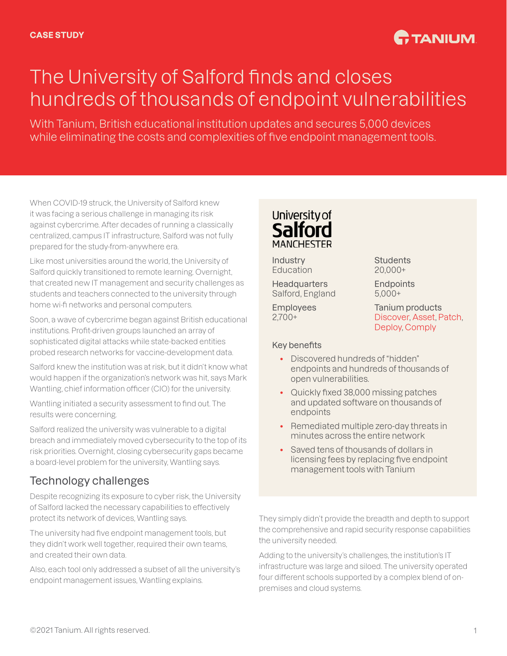## **C.** TANIUM

# The University of Salford finds and closes hundreds of thousands of endpoint vulnerabilities

With Tanium, British educational institution updates and secures 5,000 devices while eliminating the costs and complexities of five endpoint management tools.

When COVID-19 struck, the University of Salford knew it was facing a serious challenge in managing its risk against cybercrime. After decades of running a classically centralized, campus IT infrastructure, Salford was not fully prepared for the study-from-anywhere era.

Like most universities around the world, the University of Salford quickly transitioned to remote learning. Overnight, that created new IT management and security challenges as students and teachers connected to the university through home wi-fi networks and personal computers.

Soon, a wave of cybercrime began against British educational institutions. Profit-driven groups launched an array of sophisticated digital attacks while state-backed entities probed research networks for vaccine-development data.

Salford knew the institution was at risk, but it didn't know what would happen if the organization's network was hit, says Mark Wantling, chief information officer (CIO) for the university.

Wantling initiated a security assessment to find out. The results were concerning.

Salford realized the university was vulnerable to a digital breach and immediately moved cybersecurity to the top of its risk priorities. Overnight, closing cybersecurity gaps became a board-level problem for the university, Wantling says.

### Technology challenges

Despite recognizing its exposure to cyber risk, the University of Salford lacked the necessary capabilities to effectively protect its network of devices, Wantling says.

The university had five endpoint management tools, but they didn't work well together, required their own teams, and created their own data.

Also, each tool only addressed a subset of all the university's endpoint management issues, Wantling explains.



Industry Education

**Headquarters** Salford, England

Employees 2,700+

#### Key benefits

**Students** 20,000+

**Endpoints** 5,000+

Tanium products [Discover](https://www.tanium.com/products/tanium-discover/), [Asset,](https://www.tanium.com/products/tanium-asset/) [Patch,](https://www.tanium.com/products/tanium-patch/) [Deploy](https://www.tanium.com/products/tanium-deploy/), [Comply](https://www.tanium.com/products/tanium-comply/)

- Discovered hundreds of "hidden" endpoints and hundreds of thousands of open vulnerabilities.
- Quickly fixed 38,000 missing patches and updated software on thousands of endpoints
- Remediated multiple zero-day threats in minutes across the entire network
- Saved tens of thousands of dollars in licensing fees by replacing five endpoint management tools with Tanium

They simply didn't provide the breadth and depth to support the comprehensive and rapid security response capabilities the university needed.

Adding to the university's challenges, the institution's IT infrastructure was large and siloed. The university operated four different schools supported by a complex blend of onpremises and cloud systems.